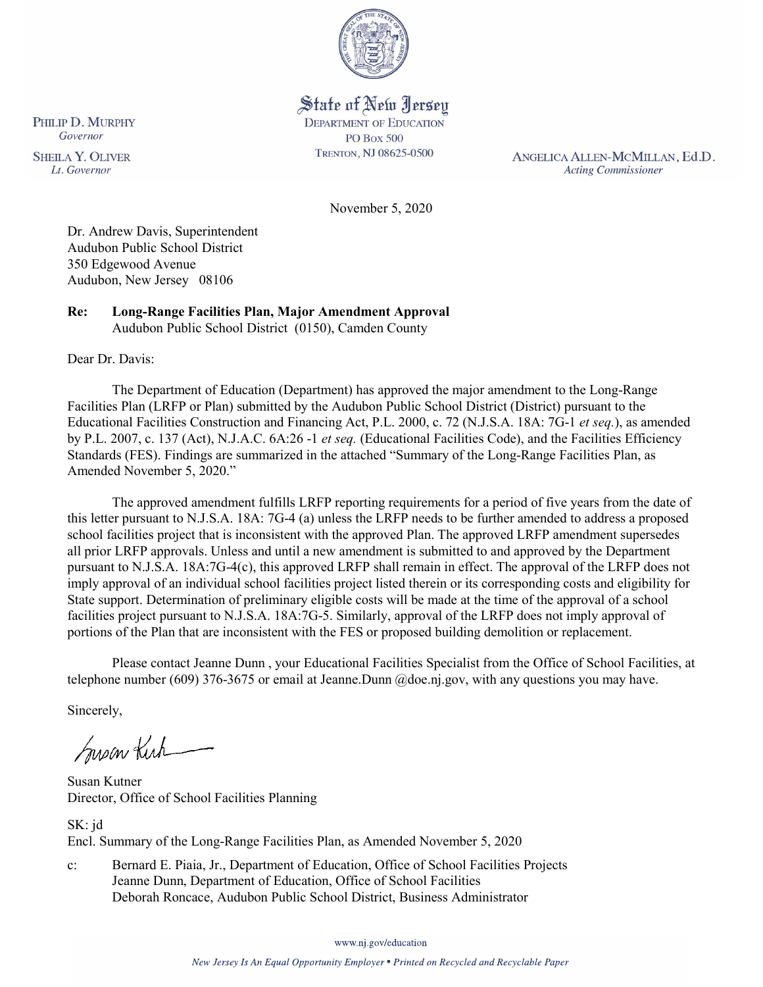

# State of New Jersey

**DEPARTMENT OF EDUCATION PO Box 500** TRENTON, NJ 08625-0500

ANGELICA ALLEN-MCMILLAN, Ed.D. **Acting Commissioner** 

November 5, 2020

Dr. Andrew Davis, Superintendent Audubon Public School District 350 Edgewood Avenue Audubon, New Jersey 08106

**Re: Long-Range Facilities Plan, Major Amendment Approval**  Audubon Public School District (0150), Camden County

Dear Dr. Davis:

The Department of Education (Department) has approved the major amendment to the Long-Range Facilities Plan (LRFP or Plan) submitted by the Audubon Public School District (District) pursuant to the Educational Facilities Construction and Financing Act, P.L. 2000, c. 72 (N.J.S.A. 18A: 7G-1 *et seq.*), as amended by P.L. 2007, c. 137 (Act), N.J.A.C. 6A:26 -1 *et seq.* (Educational Facilities Code), and the Facilities Efficiency Standards (FES). Findings are summarized in the attached "Summary of the Long-Range Facilities Plan, as Amended November 5, 2020."

The approved amendment fulfills LRFP reporting requirements for a period of five years from the date of this letter pursuant to N.J.S.A. 18A: 7G-4 (a) unless the LRFP needs to be further amended to address a proposed school facilities project that is inconsistent with the approved Plan. The approved LRFP amendment supersedes all prior LRFP approvals. Unless and until a new amendment is submitted to and approved by the Department pursuant to N.J.S.A. 18A:7G-4(c), this approved LRFP shall remain in effect. The approval of the LRFP does not imply approval of an individual school facilities project listed therein or its corresponding costs and eligibility for State support. Determination of preliminary eligible costs will be made at the time of the approval of a school facilities project pursuant to N.J.S.A. 18A:7G-5. Similarly, approval of the LRFP does not imply approval of portions of the Plan that are inconsistent with the FES or proposed building demolition or replacement.

Please contact Jeanne Dunn , your Educational Facilities Specialist from the Office of School Facilities, at telephone number (609) 376-3675 or email at Jeanne.Dunn @doe.nj.gov, with any questions you may have.

Sincerely,

Susan Kich

Susan Kutner Director, Office of School Facilities Planning

SK: jd Encl. Summary of the Long-Range Facilities Plan, as Amended November 5, 2020

c: Bernard E. Piaia, Jr., Department of Education, Office of School Facilities Projects Jeanne Dunn, Department of Education, Office of School Facilities Deborah Roncace, Audubon Public School District, Business Administrator

www.nj.gov/education

PHILIP D. MURPHY Governor

**SHEILA Y. OLIVER** Lt. Governor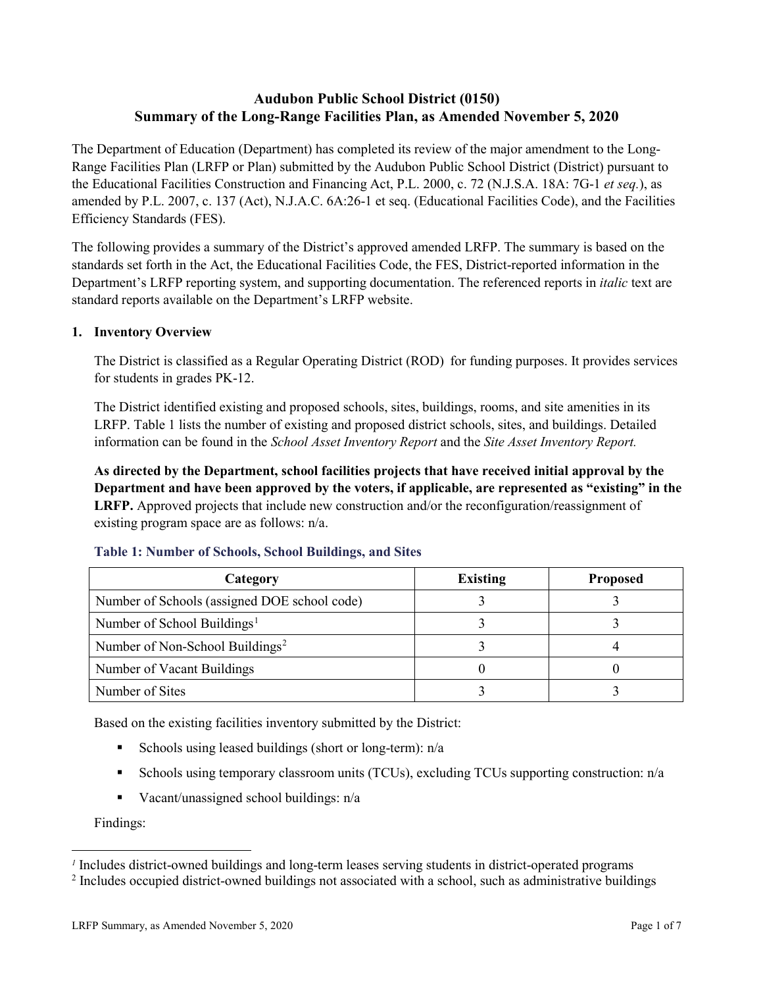## **Audubon Public School District (0150) Summary of the Long-Range Facilities Plan, as Amended November 5, 2020**

The Department of Education (Department) has completed its review of the major amendment to the Long-Range Facilities Plan (LRFP or Plan) submitted by the Audubon Public School District (District) pursuant to the Educational Facilities Construction and Financing Act, P.L. 2000, c. 72 (N.J.S.A. 18A: 7G-1 *et seq.*), as amended by P.L. 2007, c. 137 (Act), N.J.A.C. 6A:26-1 et seq. (Educational Facilities Code), and the Facilities Efficiency Standards (FES).

The following provides a summary of the District's approved amended LRFP. The summary is based on the standards set forth in the Act, the Educational Facilities Code, the FES, District-reported information in the Department's LRFP reporting system, and supporting documentation. The referenced reports in *italic* text are standard reports available on the Department's LRFP website.

### **1. Inventory Overview**

The District is classified as a Regular Operating District (ROD) for funding purposes. It provides services for students in grades PK-12.

The District identified existing and proposed schools, sites, buildings, rooms, and site amenities in its LRFP. Table 1 lists the number of existing and proposed district schools, sites, and buildings. Detailed information can be found in the *School Asset Inventory Report* and the *Site Asset Inventory Report.*

**As directed by the Department, school facilities projects that have received initial approval by the Department and have been approved by the voters, if applicable, are represented as "existing" in the LRFP.** Approved projects that include new construction and/or the reconfiguration/reassignment of existing program space are as follows: n/a.

| Category                                     | <b>Existing</b> | <b>Proposed</b> |
|----------------------------------------------|-----------------|-----------------|
| Number of Schools (assigned DOE school code) |                 |                 |
| Number of School Buildings <sup>1</sup>      |                 |                 |
| Number of Non-School Buildings <sup>2</sup>  |                 |                 |
| Number of Vacant Buildings                   |                 |                 |
| Number of Sites                              |                 |                 |

#### **Table 1: Number of Schools, School Buildings, and Sites**

Based on the existing facilities inventory submitted by the District:

- Schools using leased buildings (short or long-term):  $n/a$
- Schools using temporary classroom units (TCUs), excluding TCUs supporting construction: n/a
- Vacant/unassigned school buildings:  $n/a$

Findings:

 $\overline{a}$ 

<span id="page-1-1"></span><span id="page-1-0"></span>*<sup>1</sup>* Includes district-owned buildings and long-term leases serving students in district-operated programs

<sup>&</sup>lt;sup>2</sup> Includes occupied district-owned buildings not associated with a school, such as administrative buildings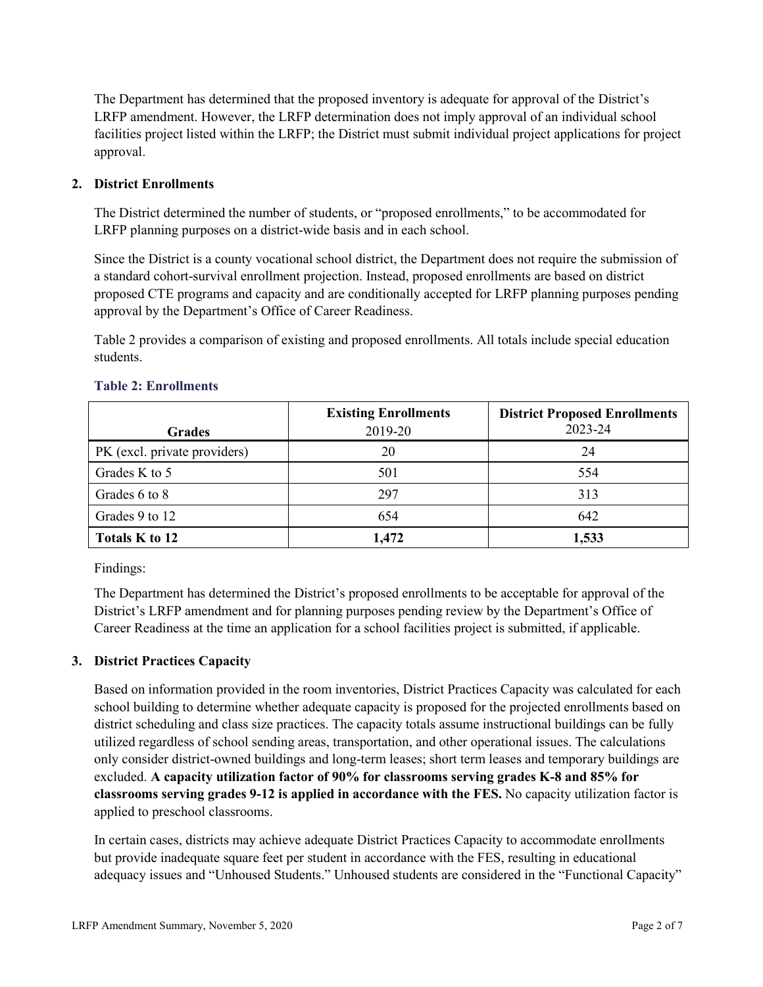The Department has determined that the proposed inventory is adequate for approval of the District's LRFP amendment. However, the LRFP determination does not imply approval of an individual school facilities project listed within the LRFP; the District must submit individual project applications for project approval.

## **2. District Enrollments**

The District determined the number of students, or "proposed enrollments," to be accommodated for LRFP planning purposes on a district-wide basis and in each school.

Since the District is a county vocational school district, the Department does not require the submission of a standard cohort-survival enrollment projection. Instead, proposed enrollments are based on district proposed CTE programs and capacity and are conditionally accepted for LRFP planning purposes pending approval by the Department's Office of Career Readiness.

Table 2 provides a comparison of existing and proposed enrollments. All totals include special education students.

|                              | <b>Existing Enrollments</b> | <b>District Proposed Enrollments</b> |
|------------------------------|-----------------------------|--------------------------------------|
| <b>Grades</b>                | 2019-20                     | 2023-24                              |
| PK (excl. private providers) | 20                          | 24                                   |
| Grades K to 5                | 501                         | 554                                  |
| Grades 6 to 8                | 297                         | 313                                  |
| Grades 9 to 12               | 654                         | 642                                  |
| Totals K to 12               | 1.472                       | 1,533                                |

#### **Table 2: Enrollments**

Findings:

The Department has determined the District's proposed enrollments to be acceptable for approval of the District's LRFP amendment and for planning purposes pending review by the Department's Office of Career Readiness at the time an application for a school facilities project is submitted, if applicable.

## **3. District Practices Capacity**

Based on information provided in the room inventories, District Practices Capacity was calculated for each school building to determine whether adequate capacity is proposed for the projected enrollments based on district scheduling and class size practices. The capacity totals assume instructional buildings can be fully utilized regardless of school sending areas, transportation, and other operational issues. The calculations only consider district-owned buildings and long-term leases; short term leases and temporary buildings are excluded. **A capacity utilization factor of 90% for classrooms serving grades K-8 and 85% for classrooms serving grades 9-12 is applied in accordance with the FES.** No capacity utilization factor is applied to preschool classrooms.

In certain cases, districts may achieve adequate District Practices Capacity to accommodate enrollments but provide inadequate square feet per student in accordance with the FES, resulting in educational adequacy issues and "Unhoused Students." Unhoused students are considered in the "Functional Capacity"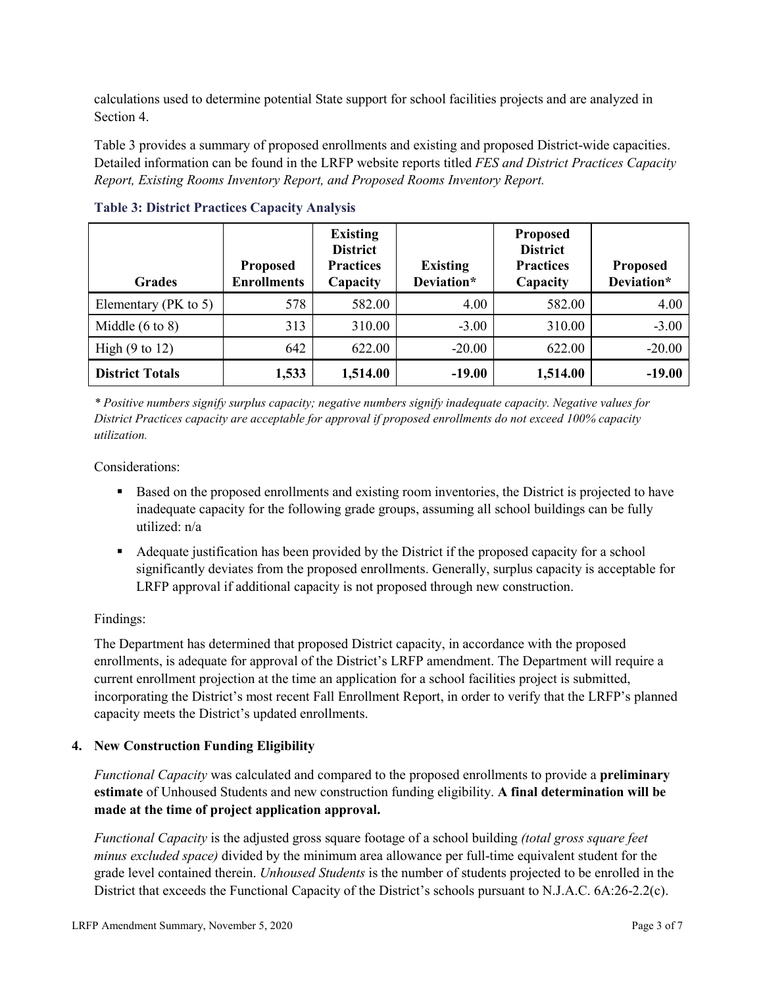calculations used to determine potential State support for school facilities projects and are analyzed in Section 4.

Table 3 provides a summary of proposed enrollments and existing and proposed District-wide capacities. Detailed information can be found in the LRFP website reports titled *FES and District Practices Capacity Report, Existing Rooms Inventory Report, and Proposed Rooms Inventory Report.*

| <b>Grades</b>              | <b>Proposed</b><br><b>Enrollments</b> | <b>Existing</b><br><b>District</b><br><b>Practices</b><br>Capacity | <b>Existing</b><br>Deviation* | <b>Proposed</b><br><b>District</b><br><b>Practices</b><br>Capacity | <b>Proposed</b><br>Deviation* |
|----------------------------|---------------------------------------|--------------------------------------------------------------------|-------------------------------|--------------------------------------------------------------------|-------------------------------|
| Elementary ( $PK$ to 5)    | 578                                   | 582.00                                                             | 4.00                          | 582.00                                                             | 4.00                          |
| Middle $(6 \text{ to } 8)$ | 313                                   | 310.00                                                             | $-3.00$                       | 310.00                                                             | $-3.00$                       |
| High $(9 \text{ to } 12)$  | 642                                   | 622.00                                                             | $-20.00$                      | 622.00                                                             | $-20.00$                      |
| <b>District Totals</b>     | 1,533                                 | 1,514.00                                                           | $-19.00$                      | 1,514.00                                                           | $-19.00$                      |

**Table 3: District Practices Capacity Analysis**

*\* Positive numbers signify surplus capacity; negative numbers signify inadequate capacity. Negative values for District Practices capacity are acceptable for approval if proposed enrollments do not exceed 100% capacity utilization.*

Considerations:

- Based on the proposed enrollments and existing room inventories, the District is projected to have inadequate capacity for the following grade groups, assuming all school buildings can be fully utilized: n/a
- Adequate justification has been provided by the District if the proposed capacity for a school significantly deviates from the proposed enrollments. Generally, surplus capacity is acceptable for LRFP approval if additional capacity is not proposed through new construction.

## Findings:

The Department has determined that proposed District capacity, in accordance with the proposed enrollments, is adequate for approval of the District's LRFP amendment. The Department will require a current enrollment projection at the time an application for a school facilities project is submitted, incorporating the District's most recent Fall Enrollment Report, in order to verify that the LRFP's planned capacity meets the District's updated enrollments.

#### **4. New Construction Funding Eligibility**

*Functional Capacity* was calculated and compared to the proposed enrollments to provide a **preliminary estimate** of Unhoused Students and new construction funding eligibility. **A final determination will be made at the time of project application approval.**

*Functional Capacity* is the adjusted gross square footage of a school building *(total gross square feet minus excluded space)* divided by the minimum area allowance per full-time equivalent student for the grade level contained therein. *Unhoused Students* is the number of students projected to be enrolled in the District that exceeds the Functional Capacity of the District's schools pursuant to N.J.A.C. 6A:26-2.2(c).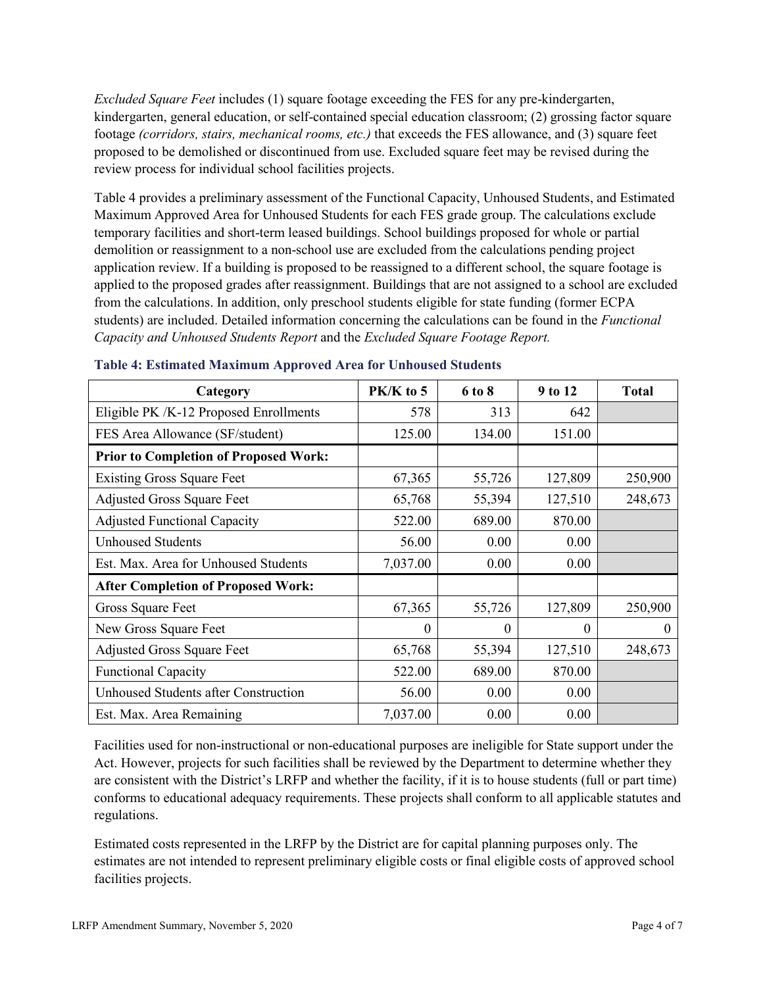*Excluded Square Feet* includes (1) square footage exceeding the FES for any pre-kindergarten, kindergarten, general education, or self-contained special education classroom; (2) grossing factor square footage *(corridors, stairs, mechanical rooms, etc.)* that exceeds the FES allowance, and (3) square feet proposed to be demolished or discontinued from use. Excluded square feet may be revised during the review process for individual school facilities projects.

Table 4 provides a preliminary assessment of the Functional Capacity, Unhoused Students, and Estimated Maximum Approved Area for Unhoused Students for each FES grade group. The calculations exclude temporary facilities and short-term leased buildings. School buildings proposed for whole or partial demolition or reassignment to a non-school use are excluded from the calculations pending project application review. If a building is proposed to be reassigned to a different school, the square footage is applied to the proposed grades after reassignment. Buildings that are not assigned to a school are excluded from the calculations. In addition, only preschool students eligible for state funding (former ECPA students) are included. Detailed information concerning the calculations can be found in the *Functional Capacity and Unhoused Students Report* and the *Excluded Square Footage Report.*

| Category                                     | PK/K to 5 | 6 to 8 | 9 to 12  | <b>Total</b> |
|----------------------------------------------|-----------|--------|----------|--------------|
| Eligible PK /K-12 Proposed Enrollments       | 578       | 313    | 642      |              |
| FES Area Allowance (SF/student)              | 125.00    | 134.00 | 151.00   |              |
| <b>Prior to Completion of Proposed Work:</b> |           |        |          |              |
| <b>Existing Gross Square Feet</b>            | 67,365    | 55,726 | 127,809  | 250,900      |
| <b>Adjusted Gross Square Feet</b>            | 65,768    | 55,394 | 127,510  | 248,673      |
| <b>Adjusted Functional Capacity</b>          | 522.00    | 689.00 | 870.00   |              |
| <b>Unhoused Students</b>                     | 56.00     | 0.00   | 0.00     |              |
| Est. Max. Area for Unhoused Students         | 7,037.00  | 0.00   | 0.00     |              |
| <b>After Completion of Proposed Work:</b>    |           |        |          |              |
| Gross Square Feet                            | 67,365    | 55,726 | 127,809  | 250,900      |
| New Gross Square Feet                        | $\theta$  | 0      | $\theta$ | $\theta$     |
| <b>Adjusted Gross Square Feet</b>            | 65,768    | 55,394 | 127,510  | 248,673      |
| <b>Functional Capacity</b>                   | 522.00    | 689.00 | 870.00   |              |
| <b>Unhoused Students after Construction</b>  | 56.00     | 0.00   | 0.00     |              |
| Est. Max. Area Remaining                     | 7,037.00  | 0.00   | 0.00     |              |

#### **Table 4: Estimated Maximum Approved Area for Unhoused Students**

Facilities used for non-instructional or non-educational purposes are ineligible for State support under the Act. However, projects for such facilities shall be reviewed by the Department to determine whether they are consistent with the District's LRFP and whether the facility, if it is to house students (full or part time) conforms to educational adequacy requirements. These projects shall conform to all applicable statutes and regulations.

Estimated costs represented in the LRFP by the District are for capital planning purposes only. The estimates are not intended to represent preliminary eligible costs or final eligible costs of approved school facilities projects.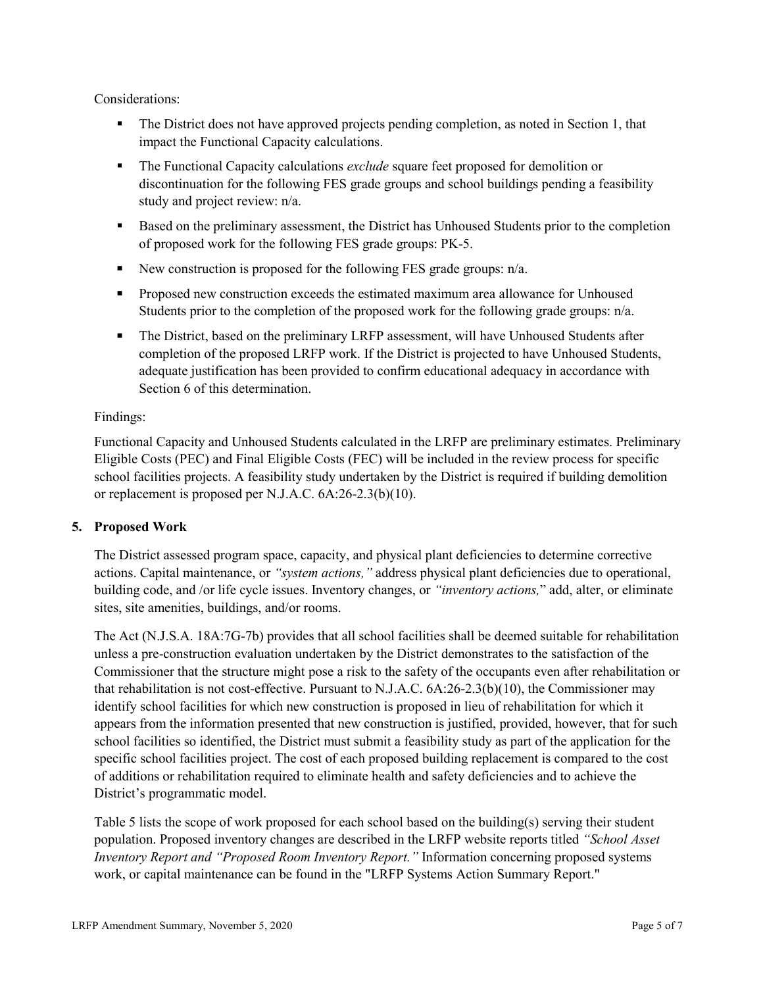Considerations:

- The District does not have approved projects pending completion, as noted in Section 1, that impact the Functional Capacity calculations.
- The Functional Capacity calculations *exclude* square feet proposed for demolition or discontinuation for the following FES grade groups and school buildings pending a feasibility study and project review: n/a.
- **Based on the preliminary assessment, the District has Unhoused Students prior to the completion** of proposed work for the following FES grade groups: PK-5.
- New construction is proposed for the following FES grade groups:  $n/a$ .
- **Proposed new construction exceeds the estimated maximum area allowance for Unhoused** Students prior to the completion of the proposed work for the following grade groups: n/a.
- The District, based on the preliminary LRFP assessment, will have Unhoused Students after completion of the proposed LRFP work. If the District is projected to have Unhoused Students, adequate justification has been provided to confirm educational adequacy in accordance with Section 6 of this determination.

## Findings:

Functional Capacity and Unhoused Students calculated in the LRFP are preliminary estimates. Preliminary Eligible Costs (PEC) and Final Eligible Costs (FEC) will be included in the review process for specific school facilities projects. A feasibility study undertaken by the District is required if building demolition or replacement is proposed per N.J.A.C. 6A:26-2.3(b)(10).

## **5. Proposed Work**

The District assessed program space, capacity, and physical plant deficiencies to determine corrective actions. Capital maintenance, or *"system actions,"* address physical plant deficiencies due to operational, building code, and /or life cycle issues. Inventory changes, or *"inventory actions,*" add, alter, or eliminate sites, site amenities, buildings, and/or rooms.

The Act (N.J.S.A. 18A:7G-7b) provides that all school facilities shall be deemed suitable for rehabilitation unless a pre-construction evaluation undertaken by the District demonstrates to the satisfaction of the Commissioner that the structure might pose a risk to the safety of the occupants even after rehabilitation or that rehabilitation is not cost-effective. Pursuant to N.J.A.C. 6A:26-2.3(b)(10), the Commissioner may identify school facilities for which new construction is proposed in lieu of rehabilitation for which it appears from the information presented that new construction is justified, provided, however, that for such school facilities so identified, the District must submit a feasibility study as part of the application for the specific school facilities project. The cost of each proposed building replacement is compared to the cost of additions or rehabilitation required to eliminate health and safety deficiencies and to achieve the District's programmatic model.

Table 5 lists the scope of work proposed for each school based on the building(s) serving their student population. Proposed inventory changes are described in the LRFP website reports titled *"School Asset Inventory Report and "Proposed Room Inventory Report."* Information concerning proposed systems work, or capital maintenance can be found in the "LRFP Systems Action Summary Report."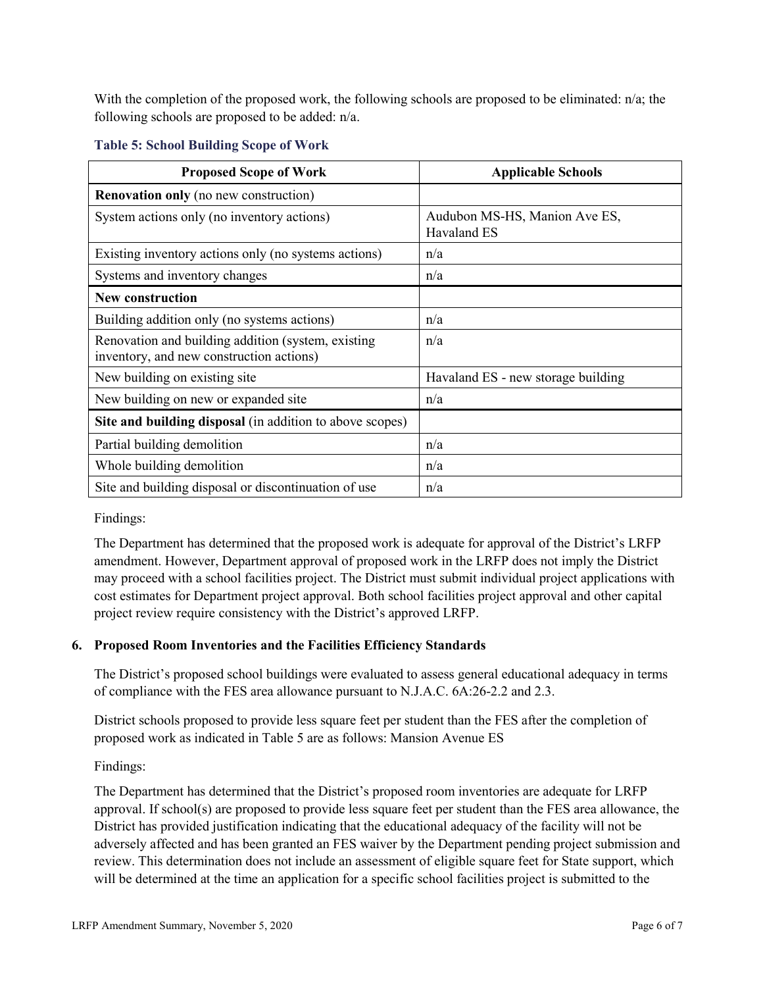With the completion of the proposed work, the following schools are proposed to be eliminated: n/a; the following schools are proposed to be added: n/a.

| <b>Proposed Scope of Work</b>                                                                  | <b>Applicable Schools</b>                    |
|------------------------------------------------------------------------------------------------|----------------------------------------------|
| <b>Renovation only</b> (no new construction)                                                   |                                              |
| System actions only (no inventory actions)                                                     | Audubon MS-HS, Manion Ave ES,<br>Havaland ES |
| Existing inventory actions only (no systems actions)                                           | n/a                                          |
| Systems and inventory changes                                                                  | n/a                                          |
| <b>New construction</b>                                                                        |                                              |
| Building addition only (no systems actions)                                                    | n/a                                          |
| Renovation and building addition (system, existing<br>inventory, and new construction actions) | n/a                                          |
| New building on existing site                                                                  | Havaland ES - new storage building           |
| New building on new or expanded site                                                           | n/a                                          |
| Site and building disposal (in addition to above scopes)                                       |                                              |
| Partial building demolition                                                                    | n/a                                          |
| Whole building demolition                                                                      | n/a                                          |
| Site and building disposal or discontinuation of use                                           | n/a                                          |

## **Table 5: School Building Scope of Work**

Findings:

The Department has determined that the proposed work is adequate for approval of the District's LRFP amendment. However, Department approval of proposed work in the LRFP does not imply the District may proceed with a school facilities project. The District must submit individual project applications with cost estimates for Department project approval. Both school facilities project approval and other capital project review require consistency with the District's approved LRFP.

## **6. Proposed Room Inventories and the Facilities Efficiency Standards**

The District's proposed school buildings were evaluated to assess general educational adequacy in terms of compliance with the FES area allowance pursuant to N.J.A.C. 6A:26-2.2 and 2.3.

District schools proposed to provide less square feet per student than the FES after the completion of proposed work as indicated in Table 5 are as follows: Mansion Avenue ES

## Findings:

The Department has determined that the District's proposed room inventories are adequate for LRFP approval. If school(s) are proposed to provide less square feet per student than the FES area allowance, the District has provided justification indicating that the educational adequacy of the facility will not be adversely affected and has been granted an FES waiver by the Department pending project submission and review. This determination does not include an assessment of eligible square feet for State support, which will be determined at the time an application for a specific school facilities project is submitted to the